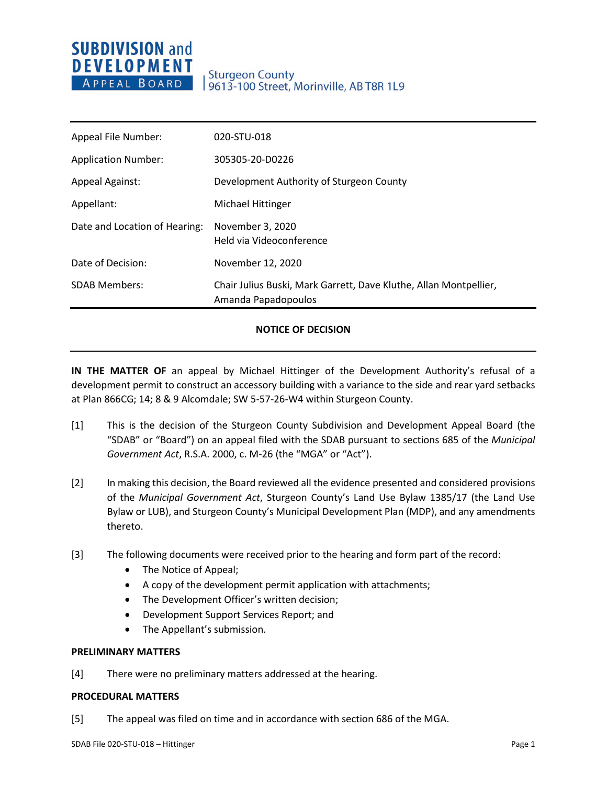## **SUBDIVISION and DEVELOPMENT** APPEAL BOARD

## **Sturgeon County** 9613-100 Street, Morinville, AB T8R 1L9

| Appeal File Number:           | 020-STU-018                                                                              |
|-------------------------------|------------------------------------------------------------------------------------------|
| <b>Application Number:</b>    | 305305-20-D0226                                                                          |
| <b>Appeal Against:</b>        | Development Authority of Sturgeon County                                                 |
| Appellant:                    | Michael Hittinger                                                                        |
| Date and Location of Hearing: | November 3, 2020<br>Held via Videoconference                                             |
| Date of Decision:             | November 12, 2020                                                                        |
| <b>SDAB Members:</b>          | Chair Julius Buski, Mark Garrett, Dave Kluthe, Allan Montpellier,<br>Amanda Papadopoulos |

## **NOTICE OF DECISION**

**IN THE MATTER OF** an appeal by Michael Hittinger of the Development Authority's refusal of a development permit to construct an accessory building with a variance to the side and rear yard setbacks at Plan 866CG; 14; 8 & 9 Alcomdale; SW 5-57-26-W4 within Sturgeon County.

- [1] This is the decision of the Sturgeon County Subdivision and Development Appeal Board (the "SDAB" or "Board") on an appeal filed with the SDAB pursuant to sections 685 of the *Municipal Government Act*, R.S.A. 2000, c. M-26 (the "MGA" or "Act").
- [2] In making this decision, the Board reviewed all the evidence presented and considered provisions of the *Municipal Government Act*, Sturgeon County's Land Use Bylaw 1385/17 (the Land Use Bylaw or LUB), and Sturgeon County's Municipal Development Plan (MDP), and any amendments thereto.
- [3] The following documents were received prior to the hearing and form part of the record:
	- The Notice of Appeal;
	- A copy of the development permit application with attachments;
	- The Development Officer's written decision;
	- Development Support Services Report; and
	- The Appellant's submission.

### **PRELIMINARY MATTERS**

[4] There were no preliminary matters addressed at the hearing.

### **PROCEDURAL MATTERS**

[5] The appeal was filed on time and in accordance with section 686 of the MGA.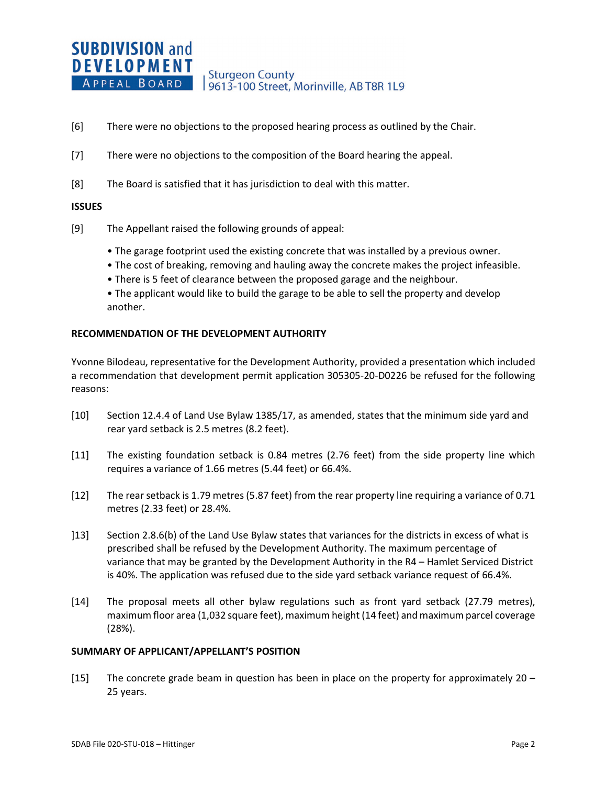- [6] There were no objections to the proposed hearing process as outlined by the Chair.
- [7] There were no objections to the composition of the Board hearing the appeal.
- [8] The Board is satisfied that it has jurisdiction to deal with this matter.

### **ISSUES**

- [9] The Appellant raised the following grounds of appeal:
	- The garage footprint used the existing concrete that was installed by a previous owner.
	- The cost of breaking, removing and hauling away the concrete makes the project infeasible.
	- There is 5 feet of clearance between the proposed garage and the neighbour.
	- The applicant would like to build the garage to be able to sell the property and develop another.

### **RECOMMENDATION OF THE DEVELOPMENT AUTHORITY**

Yvonne Bilodeau, representative for the Development Authority, provided a presentation which included a recommendation that development permit application 305305-20-D0226 be refused for the following reasons:

- [10] Section 12.4.4 of Land Use Bylaw 1385/17, as amended, states that the minimum side yard and rear yard setback is 2.5 metres (8.2 feet).
- [11] The existing foundation setback is 0.84 metres (2.76 feet) from the side property line which requires a variance of 1.66 metres (5.44 feet) or 66.4%.
- [12] The rear setback is 1.79 metres (5.87 feet) from the rear property line requiring a variance of 0.71 metres (2.33 feet) or 28.4%.
- ]13] Section 2.8.6(b) of the Land Use Bylaw states that variances for the districts in excess of what is prescribed shall be refused by the Development Authority. The maximum percentage of variance that may be granted by the Development Authority in the R4 – Hamlet Serviced District is 40%. The application was refused due to the side yard setback variance request of 66.4%.
- [14] The proposal meets all other bylaw regulations such as front yard setback (27.79 metres), maximum floor area (1,032 square feet), maximum height (14 feet) and maximum parcel coverage (28%).

### **SUMMARY OF APPLICANT/APPELLANT'S POSITION**

[15] The concrete grade beam in question has been in place on the property for approximately 20 – 25 years.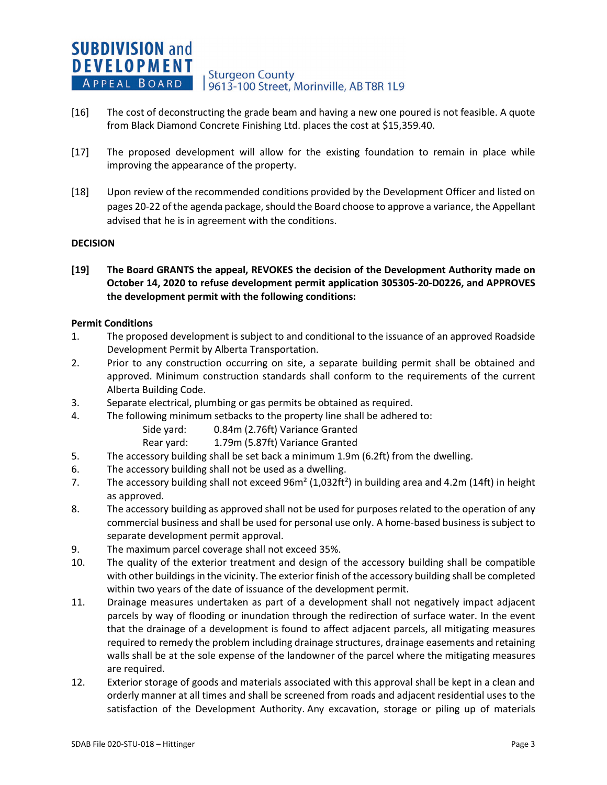**SUBDIVISION and DEVELOPMENT Sturgeon County** APPEAL BOARD 9613-100 Street, Morinville, AB T8R 1L9

- [16] The cost of deconstructing the grade beam and having a new one poured is not feasible. A quote from Black Diamond Concrete Finishing Ltd. places the cost at \$15,359.40.
- [17] The proposed development will allow for the existing foundation to remain in place while improving the appearance of the property.
- [18] Upon review of the recommended conditions provided by the Development Officer and listed on pages 20-22 of the agenda package, should the Board choose to approve a variance, the Appellant advised that he is in agreement with the conditions.

## **DECISION**

**[19] The Board GRANTS the appeal, REVOKES the decision of the Development Authority made on October 14, 2020 to refuse development permit application 305305-20-D0226, and APPROVES the development permit with the following conditions:**

## **Permit Conditions**

- 1. The proposed development is subject to and conditional to the issuance of an approved Roadside Development Permit by Alberta Transportation.
- 2. Prior to any construction occurring on site, a separate building permit shall be obtained and approved. Minimum construction standards shall conform to the requirements of the current Alberta Building Code.
- 3. Separate electrical, plumbing or gas permits be obtained as required.
- 4. The following minimum setbacks to the property line shall be adhered to:
	- Side yard: 0.84m (2.76ft) Variance Granted
	- Rear yard: 1.79m (5.87ft) Variance Granted
- 5. The accessory building shall be set back a minimum 1.9m (6.2ft) from the dwelling.
- 6. The accessory building shall not be used as a dwelling.
- 7. The accessory building shall not exceed  $96m^2 (1,032ft^2)$  in building area and 4.2m (14ft) in height as approved.
- 8. The accessory building as approved shall not be used for purposes related to the operation of any commercial business and shall be used for personal use only. A home-based business is subject to separate development permit approval.
- 9. The maximum parcel coverage shall not exceed 35%.
- 10. The quality of the exterior treatment and design of the accessory building shall be compatible with other buildings in the vicinity. The exterior finish of the accessory building shall be completed within two years of the date of issuance of the development permit.
- 11. Drainage measures undertaken as part of a development shall not negatively impact adjacent parcels by way of flooding or inundation through the redirection of surface water. In the event that the drainage of a development is found to affect adjacent parcels, all mitigating measures required to remedy the problem including drainage structures, drainage easements and retaining walls shall be at the sole expense of the landowner of the parcel where the mitigating measures are required.
- 12. Exterior storage of goods and materials associated with this approval shall be kept in a clean and orderly manner at all times and shall be screened from roads and adjacent residential uses to the satisfaction of the Development Authority. Any excavation, storage or piling up of materials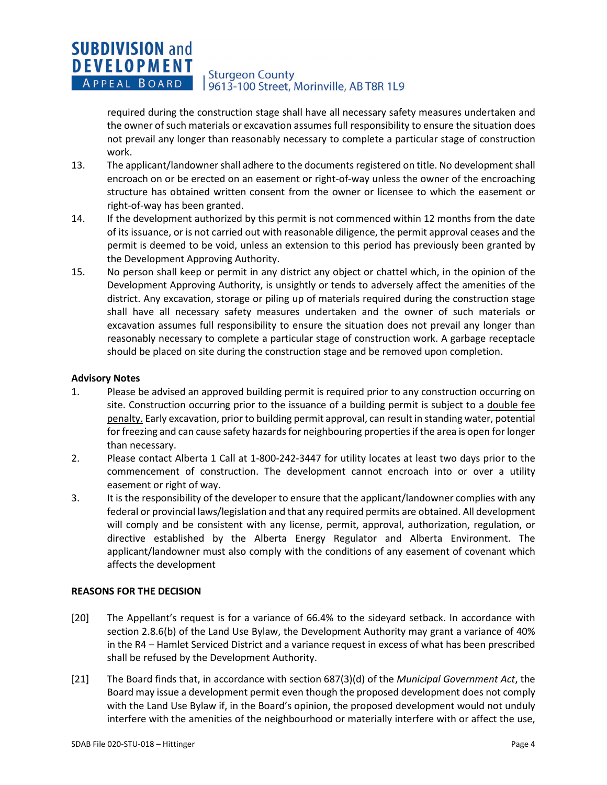#### **SUBDIVISION and DEVELOPMENT Sturgeon County** APPEAL BOARD 9613-100 Street, Morinville, AB T8R 1L9

required during the construction stage shall have all necessary safety measures undertaken and the owner of such materials or excavation assumes full responsibility to ensure the situation does not prevail any longer than reasonably necessary to complete a particular stage of construction work.

- 13. The applicant/landowner shall adhere to the documents registered on title. No development shall encroach on or be erected on an easement or right-of-way unless the owner of the encroaching structure has obtained written consent from the owner or licensee to which the easement or right-of-way has been granted.
- 14. If the development authorized by this permit is not commenced within 12 months from the date of its issuance, or is not carried out with reasonable diligence, the permit approval ceases and the permit is deemed to be void, unless an extension to this period has previously been granted by the Development Approving Authority.
- 15. No person shall keep or permit in any district any object or chattel which, in the opinion of the Development Approving Authority, is unsightly or tends to adversely affect the amenities of the district. Any excavation, storage or piling up of materials required during the construction stage shall have all necessary safety measures undertaken and the owner of such materials or excavation assumes full responsibility to ensure the situation does not prevail any longer than reasonably necessary to complete a particular stage of construction work. A garbage receptacle should be placed on site during the construction stage and be removed upon completion.

## **Advisory Notes**

- 1. Please be advised an approved building permit is required prior to any construction occurring on site. Construction occurring prior to the issuance of a building permit is subject to a double fee penalty. Early excavation, prior to building permit approval, can result in standing water, potential for freezing and can cause safety hazards for neighbouring properties if the area is open for longer than necessary.
- 2. Please contact Alberta 1 Call at 1-800-242-3447 for utility locates at least two days prior to the commencement of construction. The development cannot encroach into or over a utility easement or right of way.
- 3. It is the responsibility of the developer to ensure that the applicant/landowner complies with any federal or provincial laws/legislation and that any required permits are obtained. All development will comply and be consistent with any license, permit, approval, authorization, regulation, or directive established by the Alberta Energy Regulator and Alberta Environment. The applicant/landowner must also comply with the conditions of any easement of covenant which affects the development

## **REASONS FOR THE DECISION**

- [20] The Appellant's request is for a variance of 66.4% to the sideyard setback. In accordance with section 2.8.6(b) of the Land Use Bylaw, the Development Authority may grant a variance of 40% in the R4 – Hamlet Serviced District and a variance request in excess of what has been prescribed shall be refused by the Development Authority.
- [21] The Board finds that, in accordance with section 687(3)(d) of the *Municipal Government Act*, the Board may issue a development permit even though the proposed development does not comply with the Land Use Bylaw if, in the Board's opinion, the proposed development would not unduly interfere with the amenities of the neighbourhood or materially interfere with or affect the use,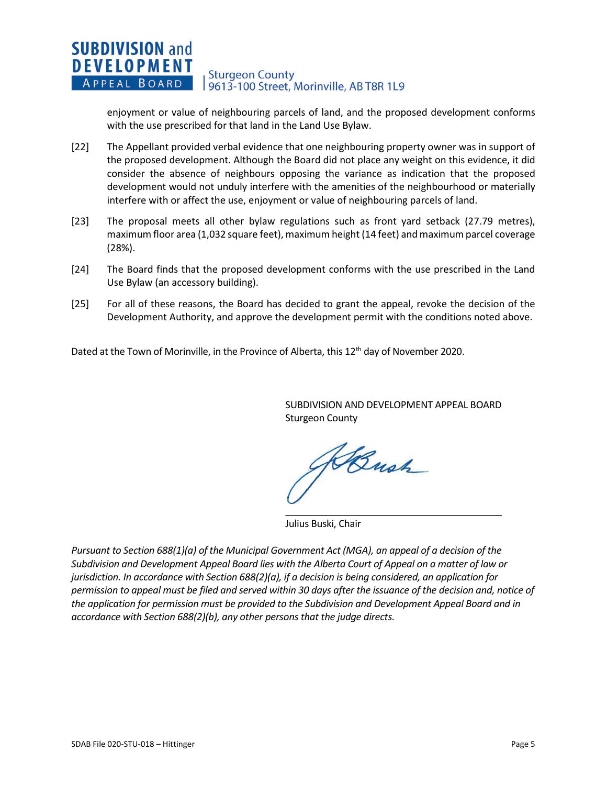#### **SUBDIVISION and DEVELOPMENT Sturgeon County** APPEAL BOARD 9613-100 Street, Morinville, AB T8R 1L9

enjoyment or value of neighbouring parcels of land, and the proposed development conforms with the use prescribed for that land in the Land Use Bylaw.

- [22] The Appellant provided verbal evidence that one neighbouring property owner was in support of the proposed development. Although the Board did not place any weight on this evidence, it did consider the absence of neighbours opposing the variance as indication that the proposed development would not unduly interfere with the amenities of the neighbourhood or materially interfere with or affect the use, enjoyment or value of neighbouring parcels of land.
- [23] The proposal meets all other bylaw regulations such as front yard setback (27.79 metres), maximum floor area (1,032 square feet), maximum height (14 feet) and maximum parcel coverage (28%).
- [24] The Board finds that the proposed development conforms with the use prescribed in the Land Use Bylaw (an accessory building).
- [25] For all of these reasons, the Board has decided to grant the appeal, revoke the decision of the Development Authority, and approve the development permit with the conditions noted above.

Dated at the Town of Morinville, in the Province of Alberta, this 12<sup>th</sup> day of November 2020.

SUBDIVISION AND DEVELOPMENT APPEAL BOARD Sturgeon County

\_\_\_\_\_\_\_\_\_\_\_\_\_\_\_\_\_\_\_\_\_\_\_\_\_\_\_\_\_\_\_\_\_\_\_\_\_\_\_\_\_

KBush

Julius Buski, Chair

*Pursuant to Section 688(1)(a) of the Municipal Government Act (MGA), an appeal of a decision of the Subdivision and Development Appeal Board lies with the Alberta Court of Appeal on a matter of law or jurisdiction. In accordance with Section 688(2)(a), if a decision is being considered, an application for permission to appeal must be filed and served within 30 days after the issuance of the decision and, notice of the application for permission must be provided to the Subdivision and Development Appeal Board and in accordance with Section 688(2)(b), any other persons that the judge directs.*